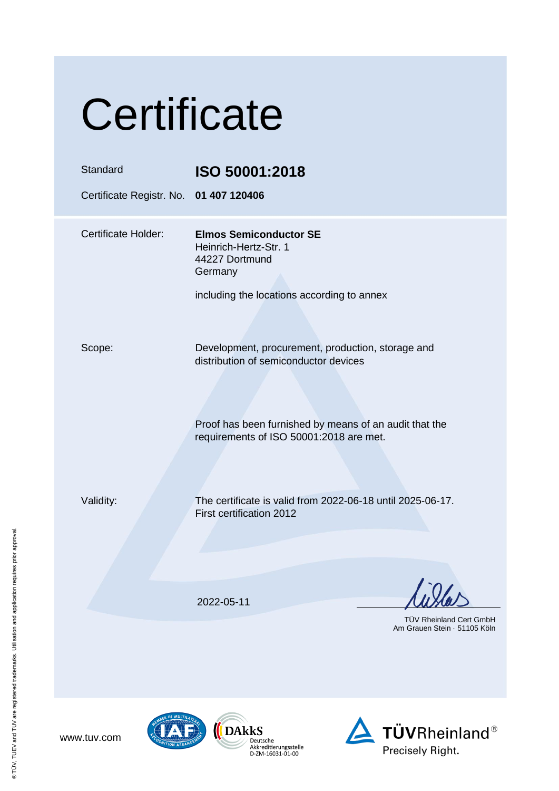| Certificate                                        |                                                                                                                                                                                                 |  |
|----------------------------------------------------|-------------------------------------------------------------------------------------------------------------------------------------------------------------------------------------------------|--|
| Standard<br>Certificate Registr. No. 01 407 120406 | ISO 50001:2018                                                                                                                                                                                  |  |
| <b>Certificate Holder:</b>                         | <b>Elmos Semiconductor SE</b><br>Heinrich-Hertz-Str. 1<br>44227 Dortmund<br>Germany<br>including the locations according to annex                                                               |  |
| Scope:                                             | Development, procurement, production, storage and<br>distribution of semiconductor devices<br>Proof has been furnished by means of an audit that the<br>requirements of ISO 50001:2018 are met. |  |
| Validity:                                          | The certificate is valid from 2022-06-18 until 2025-06-17.<br>First certification 2012                                                                                                          |  |
|                                                    | 2022-05-11<br>TÜV Rheinland Cert GmbH<br>Am Grauen Stein · 51105 Köln                                                                                                                           |  |







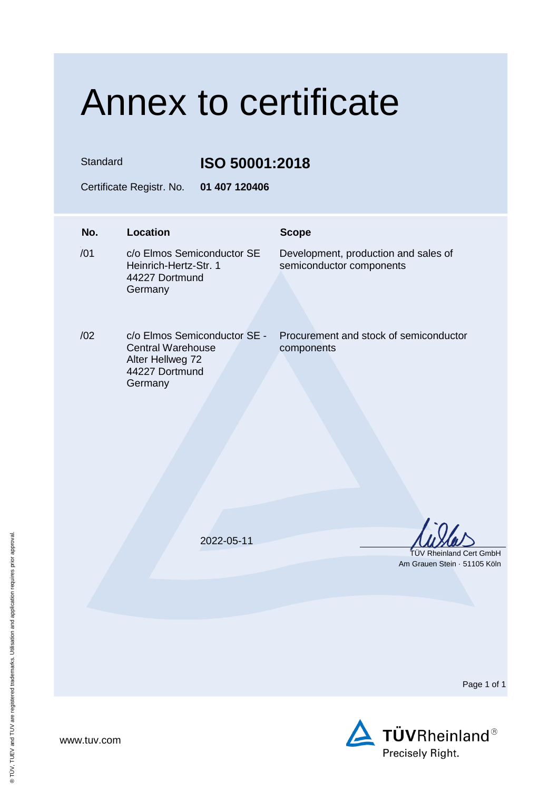## Annex to certificate

Standard **ISO 50001:2018**

Certificate Registr. No. **01 407 120406**

## **No. Location Scope**  $/01$ c/o Elmos Semiconductor SE Heinrich-Hertz-Str. 1 44227 Dortmund Germany Development, production and sales of semiconductor components /02 c/o Elmos Semiconductor SE - Central Warehouse Alter Hellweg 72 44227 Dortmund **Germany** Procurement and stock of semiconductor components 2022-05-11 TÜV Rheinland Cert GmbH Am Grauen Stein · 51105 Köln

Page 1 of 1

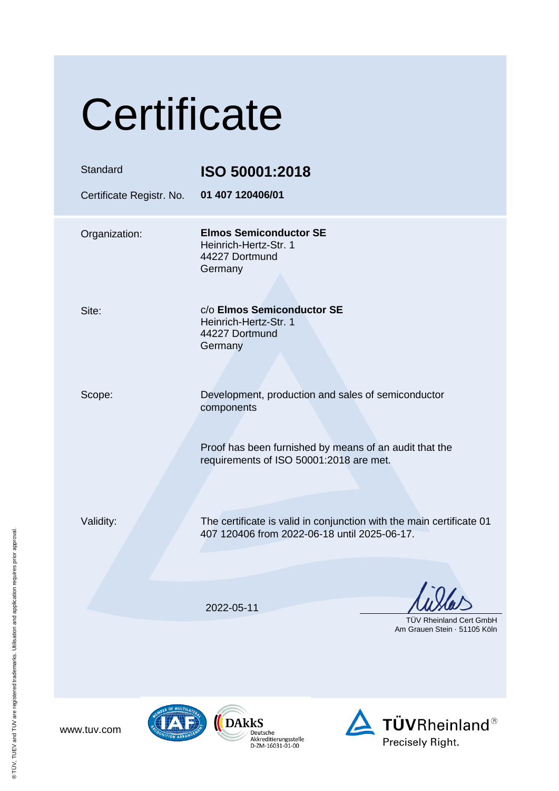| Certificate                          |                                                                                                                      |  |
|--------------------------------------|----------------------------------------------------------------------------------------------------------------------|--|
| Standard<br>Certificate Registr. No. | ISO 50001:2018<br>01 407 120406/01                                                                                   |  |
| Organization:                        | <b>Elmos Semiconductor SE</b><br>Heinrich-Hertz-Str. 1<br>44227 Dortmund<br>Germany                                  |  |
| Site:                                | c/o Elmos Semiconductor SE<br>Heinrich-Hertz-Str. 1<br>44227 Dortmund<br>Germany                                     |  |
| Scope:                               | Development, production and sales of semiconductor<br>components                                                     |  |
|                                      | Proof has been furnished by means of an audit that the<br>requirements of ISO 50001:2018 are met.                    |  |
| Validity:                            | The certificate is valid in conjunction with the main certificate 01<br>407 120406 from 2022-06-18 until 2025-06-17. |  |
|                                      | 2022-05-11<br><b>TUV Rheinland Cert GmbH</b>                                                                         |  |
|                                      | Am Grauen Stein 51105 Köln                                                                                           |  |